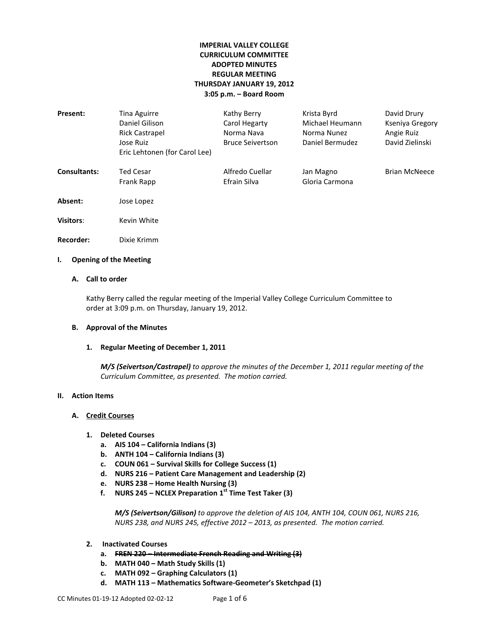# **IMPERIAL VALLEY COLLEGE CURRICULUM COMMITTEE ADOPTED MINUTES REGULAR MEETING THURSDAY JANUARY 19, 2012 3:05 p.m. – Board Room**

| Present:            | Tina Aguirre                  | Kathy Berry             | Krista Byrd     | David Drury          |
|---------------------|-------------------------------|-------------------------|-----------------|----------------------|
|                     | Daniel Gilison                | Carol Hegarty           | Michael Heumann | Kseniya Gregory      |
|                     | Rick Castrapel                | Norma Nava              | Norma Nunez     | Angie Ruiz           |
|                     | Jose Ruiz                     | <b>Bruce Seivertson</b> | Daniel Bermudez | David Zielinski      |
|                     | Eric Lehtonen (for Carol Lee) |                         |                 |                      |
| <b>Consultants:</b> | Ted Cesar                     | Alfredo Cuellar         | Jan Magno       | <b>Brian McNeece</b> |
|                     | Frank Rapp                    | Efrain Silva            | Gloria Carmona  |                      |
| Absent:             | Jose Lopez                    |                         |                 |                      |
| <b>Visitors:</b>    | Kevin White                   |                         |                 |                      |
| Recorder:           | Dixie Krimm                   |                         |                 |                      |

# **I. Opening of the Meeting**

# **A. Call to order**

Kathy Berry called the regular meeting of the Imperial Valley College Curriculum Committee to order at 3:09 p.m. on Thursday, January 19, 2012.

## **B. Approval of the Minutes**

## **1. Regular Meeting of December 1, 2011**

*M/S (Seivertson/Castrapel) to approve the minutes of the December 1, 2011 regular meeting of the Curriculum Committee, as presented. The motion carried.*

## **II. Action Items**

## **A. Credit Courses**

- **1. Deleted Courses**
	- **a. AIS 104 – California Indians (3)**
	- **b. ANTH 104 – California Indians (3)**
	- **c. COUN 061 – Survival Skills for College Success (1)**
	- **d. NURS 216 – Patient Care Management and Leadership (2)**
	- **e. NURS 238 – Home Health Nursing (3)**
	- **f. NURS 245 – NCLEX Preparation 1st Time Test Taker (3)**

*M/S (Seivertson/Gilison) to approve the deletion of AIS 104, ANTH 104, COUN 061, NURS 216, NURS 238, and NURS 245, effective 2012 – 2013, as presented. The motion carried.*

- **2. Inactivated Courses** 
	- **a. FREN 220 – Intermediate French Reading and Writing (3)**
	- **b. MATH 040 – Math Study Skills (1)**
	- **c. MATH 092 – Graphing Calculators (1)**
	- **d. MATH 113 – Mathematics Software-Geometer's Sketchpad (1)**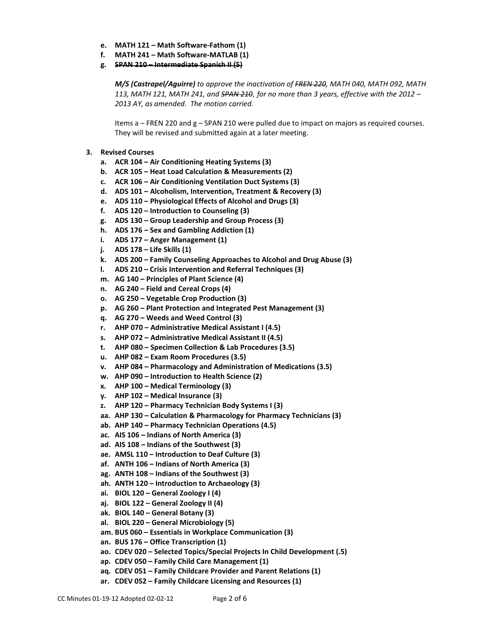- **e. MATH 121 – Math Software-Fathom (1)**
- **f. MATH 241 – Math Software-MATLAB (1)**
- **g. SPAN 210 – Intermediate Spanish II (5)**

*M/S (Castrapel/Aguirre) to approve the inactivation of FREN 220, MATH 040, MATH 092, MATH 113, MATH 121, MATH 241, and SPAN 210, for no more than 3 years, effective with the 2012 – 2013 AY, as amended. The motion carried.*

Items a – FREN 220 and g – SPAN 210 were pulled due to impact on majors as required courses. They will be revised and submitted again at a later meeting.

- **3. Revised Courses**
	- **a. ACR 104 – Air Conditioning Heating Systems (3)**
	- **b. ACR 105 – Heat Load Calculation & Measurements (2)**
	- **c. ACR 106 – Air Conditioning Ventilation Duct Systems (3)**
	- **d. ADS 101 – Alcoholism, Intervention, Treatment & Recovery (3)**
	- **e. ADS 110 – Physiological Effects of Alcohol and Drugs (3)**
	- **f. ADS 120 – Introduction to Counseling (3)**
	- **g. ADS 130 – Group Leadership and Group Process (3)**
	- **h. ADS 176 – Sex and Gambling Addiction (1)**
	- **i. ADS 177 – Anger Management (1)**
	- **j. ADS 178 – Life Skills (1)**
	- **k. ADS 200 – Family Counseling Approaches to Alcohol and Drug Abuse (3)**
	- **l. ADS 210 – Crisis Intervention and Referral Techniques (3)**
	- **m. AG 140 – Principles of Plant Science (4)**
	- **n. AG 240 – Field and Cereal Crops (4)**
	- **o. AG 250 – Vegetable Crop Production (3)**
	- **p. AG 260 – Plant Protection and Integrated Pest Management (3)**
	- **q. AG 270 – Weeds and Weed Control (3)**
	- **r. AHP 070 – Administrative Medical Assistant I (4.5)**
	- **s. AHP 072 – Administrative Medical Assistant II (4.5)**
	- **t. AHP 080 – Specimen Collection & Lab Procedures (3.5)**
	- **u. AHP 082 – Exam Room Procedures (3.5)**
	- **v. AHP 084 – Pharmacology and Administration of Medications (3.5)**
	- **w. AHP 090 – Introduction to Health Science (2)**
	- **x. AHP 100 – Medical Terminology (3)**
	- **y. AHP 102 – Medical Insurance (3)**
	- **z. AHP 120 – Pharmacy Technician Body Systems I (3)**
	- **aa. AHP 130 – Calculation & Pharmacology for Pharmacy Technicians (3)**
	- **ab. AHP 140 – Pharmacy Technician Operations (4.5)**
	- **ac. AIS 106 – Indians of North America (3)**
	- **ad. AIS 108 – Indians of the Southwest (3)**
	- **ae. AMSL 110 – Introduction to Deaf Culture (3)**
	- **af. ANTH 106 – Indians of North America (3)**
	- **ag. ANTH 108 – Indians of the Southwest (3)**
	- **ah. ANTH 120 – Introduction to Archaeology (3)**
	- **ai. BIOL 120 – General Zoology I (4)**
	- **aj. BIOL 122 – General Zoology II (4)**
	- **ak. BIOL 140 – General Botany (3)**
	- **al. BIOL 220 – General Microbiology (5)**
	- **am. BUS 060 – Essentials in Workplace Communication (3)**
	- **an. BUS 176 – Office Transcription (1)**
	- **ao. CDEV 020 – Selected Topics/Special Projects In Child Development (.5)**
	- **ap. CDEV 050 – Family Child Care Management (1)**
	- **aq. CDEV 051 – Family Childcare Provider and Parent Relations (1)**
	- **ar. CDEV 052 – Family Childcare Licensing and Resources (1)**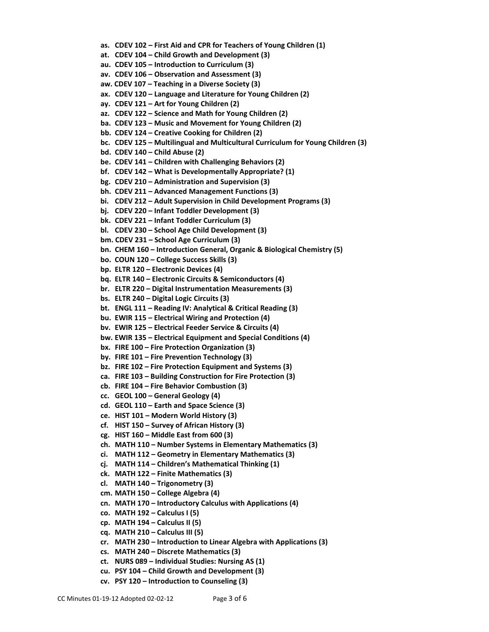- **as. CDEV 102 – First Aid and CPR for Teachers of Young Children (1)**
- **at. CDEV 104 – Child Growth and Development (3)**
- **au. CDEV 105 – Introduction to Curriculum (3)**
- **av. CDEV 106 – Observation and Assessment (3)**
- **aw. CDEV 107 – Teaching in a Diverse Society (3)**
- **ax. CDEV 120 – Language and Literature for Young Children (2)**
- **ay. CDEV 121 – Art for Young Children (2)**
- **az. CDEV 122 – Science and Math for Young Children (2)**
- **ba. CDEV 123 – Music and Movement for Young Children (2)**
- **bb. CDEV 124 – Creative Cooking for Children (2)**
- **bc. CDEV 125 – Multilingual and Multicultural Curriculum for Young Children (3)**
- **bd. CDEV 140 – Child Abuse (2)**
- **be. CDEV 141 – Children with Challenging Behaviors (2)**
- **bf. CDEV 142 – What is Developmentally Appropriate? (1)**
- **bg. CDEV 210 – Administration and Supervision (3)**
- **bh. CDEV 211 – Advanced Management Functions (3)**
- **bi. CDEV 212 – Adult Supervision in Child Development Programs (3)**
- **bj. CDEV 220 – Infant Toddler Development (3)**
- **bk. CDEV 221 – Infant Toddler Curriculum (3)**
- **bl. CDEV 230 – School Age Child Development (3)**
- **bm. CDEV 231 – School Age Curriculum (3)**
- **bn. CHEM 160 – Introduction General, Organic & Biological Chemistry (5)**
- **bo. COUN 120 – College Success Skills (3)**
- **bp. ELTR 120 – Electronic Devices (4)**
- **bq. ELTR 140 – Electronic Circuits & Semiconductors (4)**
- **br. ELTR 220 – Digital Instrumentation Measurements (3)**
- **bs. ELTR 240 – Digital Logic Circuits (3)**
- **bt. ENGL 111 – Reading IV: Analytical & Critical Reading (3)**
- **bu. EWIR 115 – Electrical Wiring and Protection (4)**
- **bv. EWIR 125 – Electrical Feeder Service & Circuits (4)**
- **bw. EWIR 135 – Electrical Equipment and Special Conditions (4)**
- **bx. FIRE 100 – Fire Protection Organization (3)**
- **by. FIRE 101 – Fire Prevention Technology (3)**
- **bz. FIRE 102 – Fire Protection Equipment and Systems (3)**
- **ca. FIRE 103 – Building Construction for Fire Protection (3)**
- **cb. FIRE 104 – Fire Behavior Combustion (3)**
- **cc. GEOL 100 – General Geology (4)**
- **cd. GEOL 110 – Earth and Space Science (3)**
- **ce. HIST 101 – Modern World History (3)**
- **cf. HIST 150 – Survey of African History (3)**
- **cg. HIST 160 – Middle East from 600 (3)**
- **ch. MATH 110 – Number Systems in Elementary Mathematics (3)**
- **ci. MATH 112 – Geometry in Elementary Mathematics (3)**
- **cj. MATH 114 – Children's Mathematical Thinking (1)**
- **ck. MATH 122 – Finite Mathematics (3)**
- **cl. MATH 140 – Trigonometry (3)**
- **cm. MATH 150 – College Algebra (4)**
- **cn. MATH 170 – Introductory Calculus with Applications (4)**
- **co. MATH 192 – Calculus I (5)**
- **cp. MATH 194 – Calculus II (5)**
- **cq. MATH 210 – Calculus III (5)**
- **cr. MATH 230 – Introduction to Linear Algebra with Applications (3)**
- **cs. MATH 240 – Discrete Mathematics (3)**
- **ct. NURS 089 – Individual Studies: Nursing AS (1)**
- **cu. PSY 104 – Child Growth and Development (3)**
- **cv. PSY 120 – Introduction to Counseling (3)**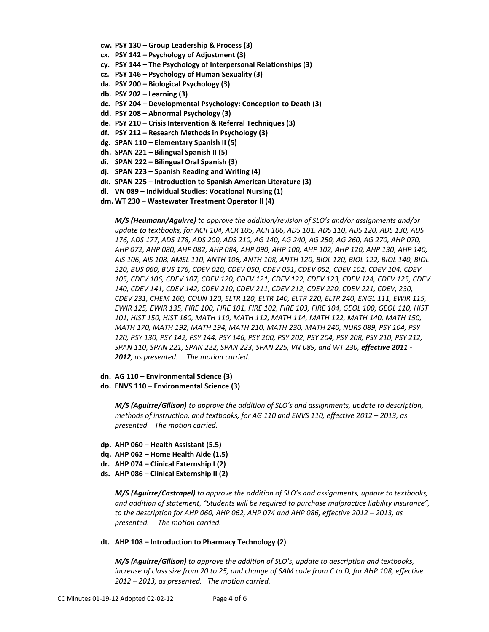- **cw. PSY 130 – Group Leadership & Process (3)**
- **cx. PSY 142 – Psychology of Adjustment (3)**
- **cy. PSY 144 – The Psychology of Interpersonal Relationships (3)**
- **cz. PSY 146 – Psychology of Human Sexuality (3)**
- **da. PSY 200 – Biological Psychology (3)**
- **db. PSY 202 – Learning (3)**
- **dc. PSY 204 – Developmental Psychology: Conception to Death (3)**
- **dd. PSY 208 – Abnormal Psychology (3)**
- **de. PSY 210 – Crisis Intervention & Referral Techniques (3)**
- **df. PSY 212 – Research Methods in Psychology (3)**
- **dg. SPAN 110 – Elementary Spanish II (5)**
- **dh. SPAN 221 – Bilingual Spanish II (5)**
- **di. SPAN 222 – Bilingual Oral Spanish (3)**
- **dj. SPAN 223 – Spanish Reading and Writing (4)**
- **dk. SPAN 225 – Introduction to Spanish American Literature (3)**
- **dl. VN 089 – Individual Studies: Vocational Nursing (1)**
- **dm. WT 230 – Wastewater Treatment Operator II (4)**

*M/S (Heumann/Aguirre) to approve the addition/revision of SLO's and/or assignments and/or update to textbooks, for ACR 104, ACR 105, ACR 106, ADS 101, ADS 110, ADS 120, ADS 130, ADS 176, ADS 177, ADS 178, ADS 200, ADS 210, AG 140, AG 240, AG 250, AG 260, AG 270, AHP 070, AHP 072, AHP 080, AHP 082, AHP 084, AHP 090, AHP 100, AHP 102, AHP 120, AHP 130, AHP 140, AIS 106, AIS 108, AMSL 110, ANTH 106, ANTH 108, ANTH 120, BIOL 120, BIOL 122, BIOL 140, BIOL 220, BUS 060, BUS 176, CDEV 020, CDEV 050, CDEV 051, CDEV 052, CDEV 102, CDEV 104, CDEV 105, CDEV 106, CDEV 107, CDEV 120, CDEV 121, CDEV 122, CDEV 123, CDEV 124, CDEV 125, CDEV 140, CDEV 141, CDEV 142, CDEV 210, CDEV 211, CDEV 212, CDEV 220, CDEV 221, CDEV, 230, CDEV 231, CHEM 160, COUN 120, ELTR 120, ELTR 140, ELTR 220, ELTR 240, ENGL 111, EWIR 115, EWIR 125, EWIR 135, FIRE 100, FIRE 101, FIRE 102, FIRE 103, FIRE 104, GEOL 100, GEOL 110, HIST 101, HIST 150, HIST 160, MATH 110, MATH 112, MATH 114, MATH 122, MATH 140, MATH 150, MATH 170, MATH 192, MATH 194, MATH 210, MATH 230, MATH 240, NURS 089, PSY 104, PSY 120, PSY 130, PSY 142, PSY 144, PSY 146, PSY 200, PSY 202, PSY 204, PSY 208, PSY 210, PSY 212, SPAN 110, SPAN 221, SPAN 222, SPAN 223, SPAN 225, VN 089, and WT 230, effective 2011 - 2012, as presented. The motion carried.*

**dn. AG 110 – Environmental Science (3) do. ENVS 110 – Environmental Science (3)**

> *M/S (Aguirre/Gilison) to approve the addition of SLO's and assignments, update to description, methods of instruction, and textbooks, for AG 110 and ENVS 110, effective 2012 – 2013, as presented. The motion carried.*

- **dp. AHP 060 – Health Assistant (5.5)**
- **dq. AHP 062 – Home Health Aide (1.5)**
- **dr. AHP 074 – Clinical Externship I (2)**
- **ds. AHP 086 – Clinical Externship II (2)**

*M/S (Aguirre/Castrapel) to approve the addition of SLO's and assignments, update to textbooks, and addition of statement, "Students will be required to purchase malpractice liability insurance", to the description for AHP 060, AHP 062, AHP 074 and AHP 086, effective 2012 – 2013, as presented. The motion carried.*

#### **dt. AHP 108 – Introduction to Pharmacy Technology (2)**

*M/S (Aguirre/Gilison) to approve the addition of SLO's, update to description and textbooks, increase of class size from 20 to 25, and change of SAM code from C to D, for AHP 108, effective 2012 – 2013, as presented. The motion carried.*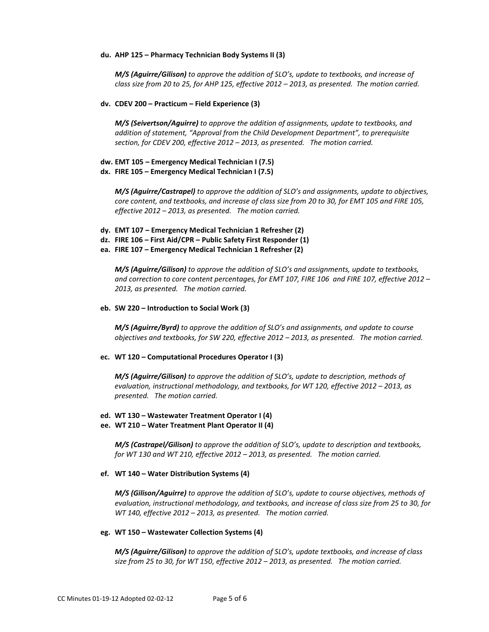#### **du. AHP 125 – Pharmacy Technician Body Systems II (3)**

*M/S (Aguirre/Gilison) to approve the addition of SLO's, update to textbooks, and increase of class size from 20 to 25, for AHP 125, effective 2012 – 2013, as presented. The motion carried.*

### **dv. CDEV 200 – Practicum – Field Experience (3)**

*M/S (Seivertson/Aguirre) to approve the addition of assignments, update to textbooks, and addition of statement, "Approval from the Child Development Department", to prerequisite section, for CDEV 200, effective 2012 – 2013, as presented. The motion carried.*

## **dw. EMT 105 – Emergency Medical Technician I (7.5) dx. FIRE 105 – Emergency Medical Technician I (7.5)**

*M/S (Aguirre/Castrapel) to approve the addition of SLO's and assignments, update to objectives, core content, and textbooks, and increase of class size from 20 to 30, for EMT 105 and FIRE 105, effective 2012 – 2013, as presented. The motion carried.*

- **dy. EMT 107 – Emergency Medical Technician 1 Refresher (2)**
- **dz. FIRE 106 – First Aid/CPR – Public Safety First Responder (1)**
- **ea. FIRE 107 – Emergency Medical Technician 1 Refresher (2)**

*M/S (Aguirre/Gilison) to approve the addition of SLO's and assignments, update to textbooks, and correction to core content percentages, for EMT 107, FIRE 106 and FIRE 107, effective 2012 – 2013, as presented. The motion carried.*

### **eb. SW 220 – Introduction to Social Work (3)**

*M/S (Aguirre/Byrd) to approve the addition of SLO's and assignments, and update to course objectives and textbooks, for SW 220, effective 2012 – 2013, as presented. The motion carried.*

#### **ec. WT 120 – Computational Procedures Operator I (3)**

*M/S (Aguirre/Gilison) to approve the addition of SLO's, update to description, methods of evaluation, instructional methodology, and textbooks, for WT 120, effective 2012 – 2013, as presented. The motion carried.*

## **ed. WT 130 – Wastewater Treatment Operator I (4)**

#### **ee. WT 210 – Water Treatment Plant Operator II (4)**

*M/S (Castrapel/Gilison) to approve the addition of SLO's, update to description and textbooks, for WT 130 and WT 210, effective 2012 – 2013, as presented. The motion carried.*

#### **ef. WT 140 – Water Distribution Systems (4)**

*M/S (Gilison/Aguirre) to approve the addition of SLO's, update to course objectives, methods of evaluation, instructional methodology, and textbooks, and increase of class size from 25 to 30, for WT 140, effective 2012 – 2013, as presented. The motion carried.*

#### **eg. WT 150 – Wastewater Collection Systems (4)**

*M/S (Aguirre/Gilison) to approve the addition of SLO's, update textbooks, and increase of class size from 25 to 30, for WT 150, effective 2012 – 2013, as presented. The motion carried.*